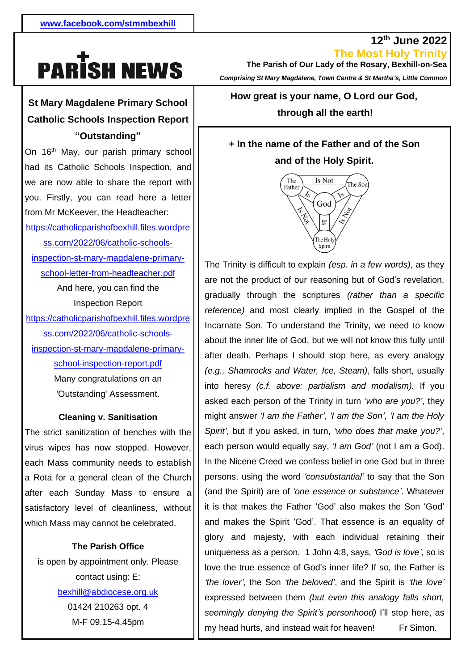# **PARISH NEWS**

#### $\mathbf{1}$ **St Mary Magdalene Primary School Catholic Schools Inspection Report "Outstanding"**

you. Firstly, you can read here a letter  from Mr McKeever, the Headteacher: <u>ss.com/2022/06/catholic-schools-</u> . On 16<sup>th</sup> May, our parish primary school had its Catholic Schools Inspection, and we are now able to share the report with [https://catholicparishofbexhill.files.wordpre](https://catholicparishofbexhill.files.wordpress.com/2022/06/catholic-schools-inspection-st-mary-magdalene-primary-school-letter-from-headteacher.pdf) [inspection-st-mary-magdalene-primary](https://catholicparishofbexhill.files.wordpress.com/2022/06/catholic-schools-inspection-st-mary-magdalene-primary-school-letter-from-headteacher.pdf)[school-letter-from-headteacher.pdf](https://catholicparishofbexhill.files.wordpress.com/2022/06/catholic-schools-inspection-st-mary-magdalene-primary-school-letter-from-headteacher.pdf) And here, you can find the Inspection Report [https://catholicparishofbexhill.files.wordpre](https://catholicparishofbexhill.files.wordpress.com/2022/06/catholic-schools-inspection-st-mary-magdalene-primary-school-inspection-report.pdf) [ss.com/2022/06/catholic-schools](https://catholicparishofbexhill.files.wordpress.com/2022/06/catholic-schools-inspection-st-mary-magdalene-primary-school-inspection-report.pdf)[inspection-st-mary-magdalene-primary](https://catholicparishofbexhill.files.wordpress.com/2022/06/catholic-schools-inspection-st-mary-magdalene-primary-school-inspection-report.pdf)[school-inspection-report.pdf](https://catholicparishofbexhill.files.wordpress.com/2022/06/catholic-schools-inspection-st-mary-magdalene-primary-school-inspection-report.pdf) Many congratulations on an

'Outstanding' Assessment.

## **Cleaning v. Sanitisation**

The strict sanitization of benches with the virus wipes has now stopped. However, each Mass community needs to establish a Rota for a general clean of the Church after each Sunday Mass to ensure a satisfactory level of cleanliness, without which Mass may cannot be celebrated.

### **The Parish Office**

is open by appointment only. Please contact using: E: [bexhill@abdiocese.org.uk](mailto:bexhill@abdiocese.org.uk) 01424 210263 opt. 4 M-F 09.15-4.45pm

**The Most Holy Trinity The Parish of Our Lady of the Rosary, Bexhill-on-Sea**  *Comprising St Mary Magdalene, Town Centre & St Martha's, Little Common*

**12th June 2022**

**How great is your name, O Lord our God,**

**through all the earth!**

## **+ In the name of the Father and of the Son and of the Holy Spirit.**



*.* The Trinity is difficult to explain *(esp. in a few words)*, as they are not the product of our reasoning but of God's revelation, gradually through the scriptures *(rather than a specific reference)* and most clearly implied in the Gospel of the Incarnate Son. To understand the Trinity, we need to know about the inner life of God, but we will not know this fully until after death. Perhaps I should stop here, as every analogy *(e.g., Shamrocks and Water, Ice, Steam)*, falls short, usually into heresy *(c.f. above: partialism and modalism).* If you asked each person of the Trinity in turn *'who are you?'*, they might answer *'I am the Father'*, *'I am the Son'*, *'I am the Holy Spirit'*, but if you asked, in turn, *'who does that make you?'*, each person would equally say, *'I am God'* (not I am a God). In the Nicene Creed we confess belief in one God but in three persons, using the word *'consubstantial'* to say that the Son (and the Spirit) are of *'one essence or substance'*. Whatever it is that makes the Father 'God' also makes the Son 'God' and makes the Spirit 'God'. That essence is an equality of glory and majesty, with each individual retaining their uniqueness as a person. 1 John 4:8, says, *'God is love'*, so is love the true essence of God's inner life? If so, the Father is *'the lover'*, the Son *'the beloved'*, and the Spirit is *'the love'* expressed between them *(but even this analogy falls short, seemingly denying the Spirit's personhood)* I'll stop here, as my head hurts, and instead wait for heaven! Fr Simon.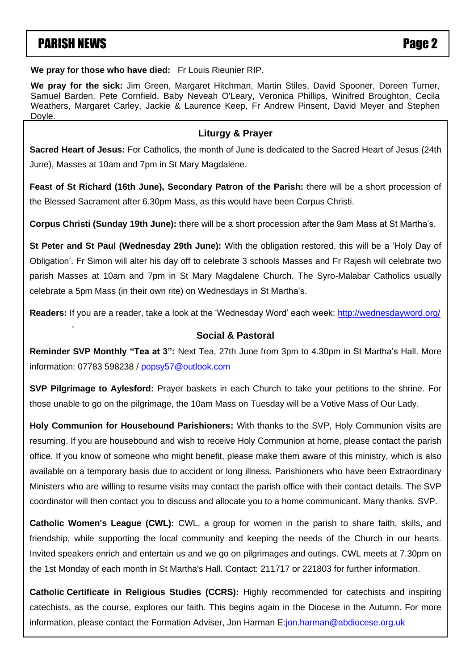## PARISH NEWS Page 2

`

**We pray for those who have died:** Fr Louis Rieunier RIP.

**We pray for the sick:** Jim Green, Margaret Hitchman, Martin Stiles, David Spooner, Doreen Turner, Samuel Barden, Pete Cornfield, Baby Neveah O'Leary, Veronica Phillips, Winifred Broughton, Cecila Weathers, Margaret Carley, Jackie & Laurence Keep, Fr Andrew Pinsent, David Meyer and Stephen Doyle.

#### **Liturgy & Prayer**

**Sacred Heart of Jesus:** For Catholics, the month of June is dedicated to the Sacred Heart of Jesus (24th June), Masses at 10am and 7pm in St Mary Magdalene.

**Feast of St Richard (16th June), Secondary Patron of the Parish:** there will be a short procession of the Blessed Sacrament after 6.30pm Mass, as this would have been Corpus Christi.

**Corpus Christi (Sunday 19th June):** there will be a short procession after the 9am Mass at St Martha's.

**St Peter and St Paul (Wednesday 29th June):** With the obligation restored, this will be a 'Holy Day of Obligation'. Er Simon will alter bis day off to celebrate 3 schools Masses and Er Paiesb will celebrate two Obligation'. Fr Simon will alter his day off to celebrate 3 schools Masses and Fr Rajesh will celebrate two parish Masses at 10am and 7pm in St Mary Magdalene Church. The Syro-Malabar Catholics usually maalah uga samaal, Magaa, Gora Nolan, Samuel, Dora Nolan, Harry Nolan, Doren O'Donovan, Roisin O'Donovan, Roisi celebrate a 5pm Mass (in their own rite) on Wednesdays in St Martha's.

**Readers:** If you are a reader, take a look at the 'Wednesday Word' each week: <u>http://wednesdayword.org</u>/

#### **Social & Pastoral**

**Reminder SVP Monthly "Tea at 3":** Next Tea, 27th June from 3pm to 4.30pm in St Martha's Hall. More information: 07783 598238 / [popsy57@outlook.com](mailto:popsy57@outlook.com)

**SVP Pilgrimage to Aylesford:** Prayer baskets in each Church to take your petitions to the shrine. For those unable to go on the pilgrimage, the 10am Mass on Tuesday will be a Votive Mass of Our Lady.

**Holy Communion for Housebound Parishioners:** With thanks to the SVP, Holy Communion visits are resuming. If you are housebound and wish to receive Holy Communion at home, please contact the parish office. If you know of someone who might benefit, please make them aware of this ministry, which is also available on a temporary basis due to accident or long illness. Parishioners who have been Extraordinary Ministers who are willing to resume visits may contact the parish office with their contact details. The SVP coordinator will then contact you to discuss and allocate you to a home communicant. Many thanks. SVP.

**Catholic Women's League (CWL):** CWL, a group for women in the parish to share faith, skills, and friendship, while supporting the local community and keeping the needs of the Church in our hearts. Invited speakers enrich and entertain us and we go on pilgrimages and outings. CWL meets at 7.30pm on the 1st Monday of each month in St Martha's Hall. Contact: 211717 or 221803 for further information.

**Catholic Certificate in Religious Studies (CCRS):** Highly recommended for catechists and inspiring catechists, as the course, explores our faith. This begins again in the Diocese in the Autumn. For more information, please contact the Formation Adviser, Jon Harman E[:jon.harman@abdiocese.org.uk](mailto:jon.harman@abdiocese.org.uk)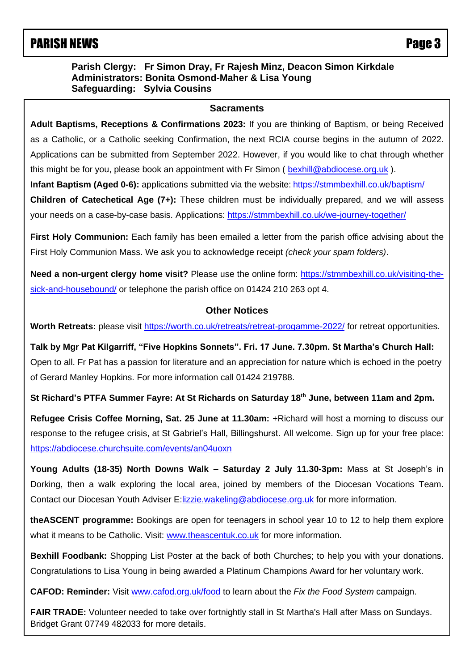## **PARISH NEWS** PARISH NEWS

#### **Parish Clergy: Fr Simon Dray, Fr Rajesh Minz, Deacon Simon Kirkdale Administrators: Bonita Osmond-Maher & Lisa Young Safeguarding: Sylvia Cousins**

#### **Sacraments**

 Applications can be submitted from September 2022. However, if you would like to chat through whether **Adult Baptisms, Receptions & Confirmations 2023:** If you are thinking of Baptism, or being Received as a Catholic, or a Catholic seeking Confirmation, the next RCIA course begins in the autumn of 2022. this might be for you, please book an appointment with Fr Simon ([bexhill@abdiocese.org.uk](mailto:bexhill@abdiocese.org.uk)).

**Infant Baptism (Aged 0-6):** applications submitted via the website: <https://stmmbexhill.co.uk/baptism/>

**Children of Catechetical Age (7+):** These children must be individually prepared, and we will assess your needs on a case-by-case basis. Applications:<https://stmmbexhill.co.uk/we-journey-together/>

**First Holy Communion:** Each family has been emailed a letter from the parish office advising about the First Holy Communion Mass. We ask you to acknowledge receipt *(check your spam folders)*.

**Need a non-urgent clergy home visit?** Please use the online form: [https://stmmbexhill.co.uk/visiting-the](https://stmmbexhill.co.uk/visiting-the-sick-and-housebound/)[sick-and-housebound/](https://stmmbexhill.co.uk/visiting-the-sick-and-housebound/) or telephone the parish office on 01424 210 263 opt 4.

#### **Other Notices**

Worth Retreats: please visit<https://worth.co.uk/retreats/retreat-progamme-2022/> for retreat opportunities.

**Talk by Mgr Pat Kilgarriff, "Five Hopkins Sonnets". Fri. 17 June. 7.30pm. St Martha's Church Hall:** Open to all. Fr Pat has a passion for literature and an appreciation for nature which is echoed in the poetry of Gerard Manley Hopkins. For more information call 01424 219788.

**St Richard's PTFA Summer Fayre: At St Richards on Saturday 18th June, between 11am and 2pm.**

**Refugee Crisis Coffee Morning, Sat. 25 June at 11.30am:** +Richard will host a morning to discuss our response to the refugee crisis, at St Gabriel's Hall, Billingshurst. All welcome. Sign up for your free place: <https://abdiocese.churchsuite.com/events/an04uoxn>

**Young Adults (18-35) North Downs Walk – Saturday 2 July 11.30-3pm:** Mass at St Joseph's in Dorking, then a walk exploring the local area, joined by members of the Diocesan Vocations Team. Contact our Diocesan Youth Adviser E: lizzie.wakeling@abdiocese.org.uk for more information.

**theASCENT programme:** Bookings are open for teenagers in school year 10 to 12 to help them explore what it means to be Catholic. Visit: [www.theascentuk.co.uk](http://www.theascentuk.co.uk/) for more information.

**Bexhill Foodbank:** Shopping List Poster at the back of both Churches; to help you with your donations. Congratulations to Lisa Young in being awarded a Platinum Champions Award for her voluntary work.

**CAFOD: Reminder:** Visit [www.cafod.org.uk/food](https://eur02.safelinks.protection.outlook.com/?url=http%3A%2F%2Fwww.cafod.org.uk%2Ffood&data=05%7C01%7Cbexhill%40abdiocese.org.uk%7C6be6b5a54e8c4b4bc8b508da327c18f2%7C2bf5dbc217ef4efca1c9ab2dc4edefd0%7C0%7C0%7C637877805824442840%7CUnknown%7CTWFpbGZsb3d8eyJWIjoiMC4wLjAwMDAiLCJQIjoiV2luMzIiLCJBTiI6Ik1haWwiLCJXVCI6Mn0%3D%7C3000%7C%7C%7C&sdata=8Rky4y2lcBaPuozVOd3FDfQLJV0RB7JDYGaB8Vf%2Bs5g%3D&reserved=0) to learn about the *Fix the Food System* campaign.

**FAIR TRADE:** Volunteer needed to take over fortnightly stall in St Martha's Hall after Mass on Sundays. Bridget Grant 07749 482033 for more details.